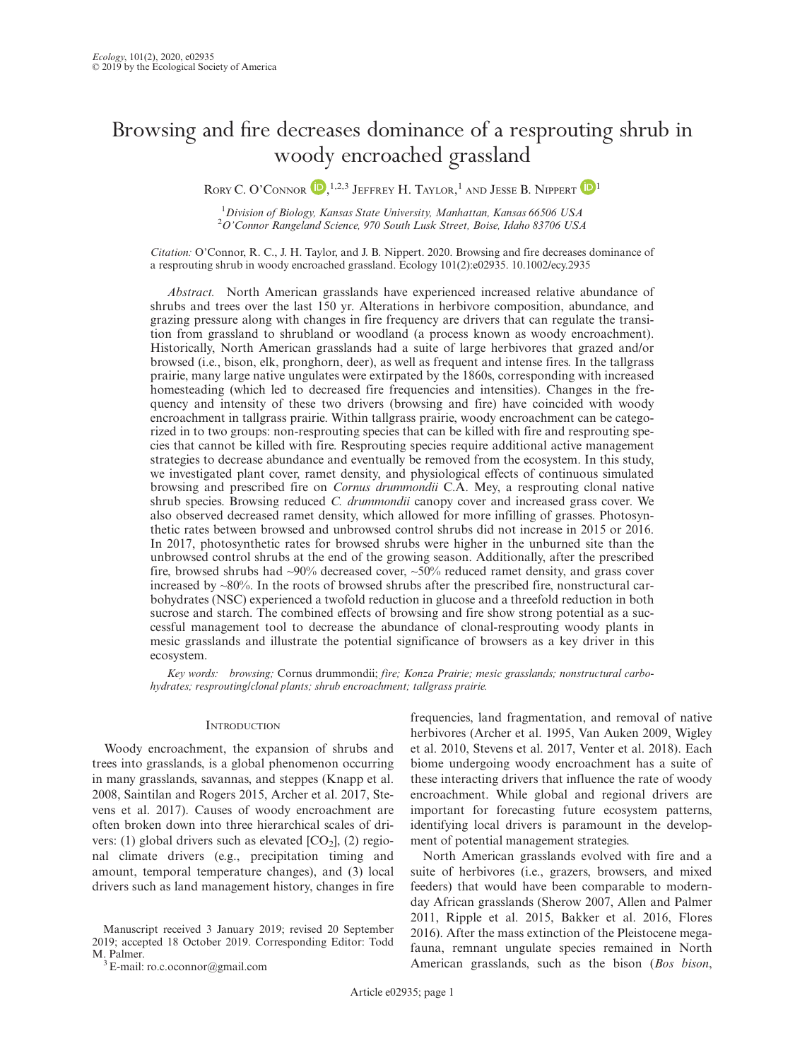# Browsing and fire decreases dominance of a resprouting shrub in woody encroached grassland

RORY C. O'CONNOR<sup>D, 1,2,3</sup> Jeffrey H. [T](https://orcid.org/0000-0002-7939-342X)aylor,<sup>1</sup> and Jesse B. Nippert<sup>D1</sup>

<sup>1</sup> Division of Biology, Kansas State University, Manhattan, Kansas 66506 USA<br><sup>2</sup> O'Connor Bangaland Science, 970 South Lugk Street, Boise, Idaho 83706 US. <sup>2</sup>O'Connor Rangeland Science, 970 South Lusk Street, Boise, Idaho 83706 USA

Citation: O'Connor, R. C., J. H. Taylor, and J. B. Nippert. 2020. Browsing and fire decreases dominance of a resprouting shrub in woody encroached grassland. Ecology 101(2):e02935. [10.1002/ecy.2935](info:doi/10.1002/ecy.2935)

Abstract. North American grasslands have experienced increased relative abundance of shrubs and trees over the last 150 yr. Alterations in herbivore composition, abundance, and grazing pressure along with changes in fire frequency are drivers that can regulate the transition from grassland to shrubland or woodland (a process known as woody encroachment). Historically, North American grasslands had a suite of large herbivores that grazed and/or browsed (i.e., bison, elk, pronghorn, deer), as well as frequent and intense fires. In the tallgrass prairie, many large native ungulates were extirpated by the 1860s, corresponding with increased homesteading (which led to decreased fire frequencies and intensities). Changes in the frequency and intensity of these two drivers (browsing and fire) have coincided with woody encroachment in tallgrass prairie. Within tallgrass prairie, woody encroachment can be categorized in to two groups: non-resprouting species that can be killed with fire and resprouting species that cannot be killed with fire. Resprouting species require additional active management strategies to decrease abundance and eventually be removed from the ecosystem. In this study, we investigated plant cover, ramet density, and physiological effects of continuous simulated browsing and prescribed fire on Cornus drummondii C.A. Mey, a resprouting clonal native shrub species. Browsing reduced C. drummondii canopy cover and increased grass cover. We also observed decreased ramet density, which allowed for more infilling of grasses. Photosynthetic rates between browsed and unbrowsed control shrubs did not increase in 2015 or 2016. In 2017, photosynthetic rates for browsed shrubs were higher in the unburned site than the unbrowsed control shrubs at the end of the growing season. Additionally, after the prescribed fire, browsed shrubs had ~90% decreased cover, ~50% reduced ramet density, and grass cover increased by  $~80\%$ . In the roots of browsed shrubs after the prescribed fire, nonstructural carbohydrates (NSC) experienced a twofold reduction in glucose and a threefold reduction in both sucrose and starch. The combined effects of browsing and fire show strong potential as a successful management tool to decrease the abundance of clonal-resprouting woody plants in mesic grasslands and illustrate the potential significance of browsers as a key driver in this ecosystem.

Key words: browsing; Cornus drummondii; fire; Konza Prairie; mesic grasslands; nonstructural carbohydrates; resprouting/clonal plants; shrub encroachment; tallgrass prairie.

### **INTRODUCTION**

Woody encroachment, the expansion of shrubs and trees into grasslands, is a global phenomenon occurring in many grasslands, savannas, and steppes (Knapp et al. 2008, Saintilan and Rogers 2015, Archer et al. 2017, Stevens et al. 2017). Causes of woody encroachment are often broken down into three hierarchical scales of drivers: (1) global drivers such as elevated  $[CO_2]$ , (2) regional climate drivers (e.g., precipitation timing and amount, temporal temperature changes), and (3) local drivers such as land management history, changes in fire

frequencies, land fragmentation, and removal of native herbivores (Archer et al. 1995, Van Auken 2009, Wigley et al. 2010, Stevens et al. 2017, Venter et al. 2018). Each biome undergoing woody encroachment has a suite of these interacting drivers that influence the rate of woody encroachment. While global and regional drivers are important for forecasting future ecosystem patterns, identifying local drivers is paramount in the development of potential management strategies.

North American grasslands evolved with fire and a suite of herbivores (i.e., grazers, browsers, and mixed feeders) that would have been comparable to modernday African grasslands (Sherow 2007, Allen and Palmer 2011, Ripple et al. 2015, Bakker et al. 2016, Flores 2016). After the mass extinction of the Pleistocene megafauna, remnant ungulate species remained in North American grasslands, such as the bison (Bos bison,

Manuscript received 3 January 2019; revised 20 September 2019; accepted 18 October 2019. Corresponding Editor: Todd M. Palmer.<br><sup>3</sup> E-mail: [ro.c.oconnor@gmail.com](mailto:)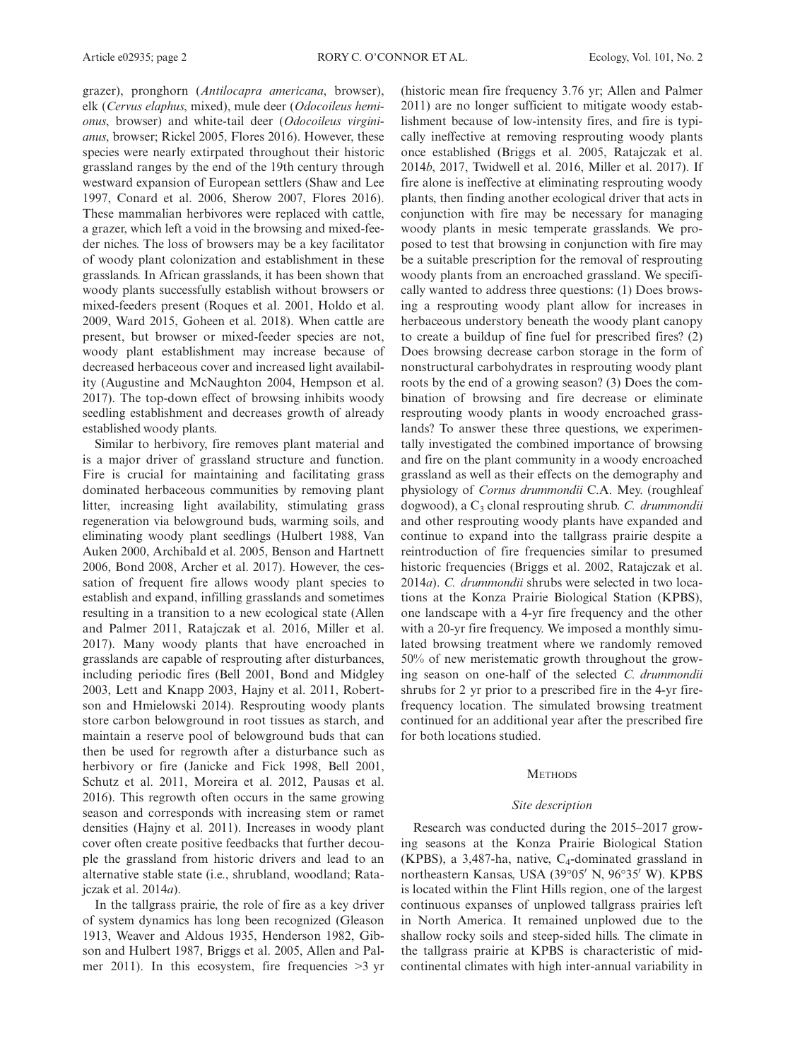grazer), pronghorn (Antilocapra americana, browser), elk (Cervus elaphus, mixed), mule deer (Odocoileus hemionus, browser) and white-tail deer (Odocoileus virginianus, browser; Rickel 2005, Flores 2016). However, these species were nearly extirpated throughout their historic grassland ranges by the end of the 19th century through westward expansion of European settlers (Shaw and Lee 1997, Conard et al. 2006, Sherow 2007, Flores 2016). These mammalian herbivores were replaced with cattle, a grazer, which left a void in the browsing and mixed-feeder niches. The loss of browsers may be a key facilitator of woody plant colonization and establishment in these grasslands. In African grasslands, it has been shown that woody plants successfully establish without browsers or mixed-feeders present (Roques et al. 2001, Holdo et al. 2009, Ward 2015, Goheen et al. 2018). When cattle are present, but browser or mixed-feeder species are not, woody plant establishment may increase because of decreased herbaceous cover and increased light availability (Augustine and McNaughton 2004, Hempson et al. 2017). The top-down effect of browsing inhibits woody seedling establishment and decreases growth of already established woody plants.

Similar to herbivory, fire removes plant material and is a major driver of grassland structure and function. Fire is crucial for maintaining and facilitating grass dominated herbaceous communities by removing plant litter, increasing light availability, stimulating grass regeneration via belowground buds, warming soils, and eliminating woody plant seedlings (Hulbert 1988, Van Auken 2000, Archibald et al. 2005, Benson and Hartnett 2006, Bond 2008, Archer et al. 2017). However, the cessation of frequent fire allows woody plant species to establish and expand, infilling grasslands and sometimes resulting in a transition to a new ecological state (Allen and Palmer 2011, Ratajczak et al. 2016, Miller et al. 2017). Many woody plants that have encroached in grasslands are capable of resprouting after disturbances, including periodic fires (Bell 2001, Bond and Midgley 2003, Lett and Knapp 2003, Hajny et al. 2011, Robertson and Hmielowski 2014). Resprouting woody plants store carbon belowground in root tissues as starch, and maintain a reserve pool of belowground buds that can then be used for regrowth after a disturbance such as herbivory or fire (Janicke and Fick 1998, Bell 2001, Schutz et al. 2011, Moreira et al. 2012, Pausas et al. 2016). This regrowth often occurs in the same growing season and corresponds with increasing stem or ramet densities (Hajny et al. 2011). Increases in woody plant cover often create positive feedbacks that further decouple the grassland from historic drivers and lead to an alternative stable state (i.e., shrubland, woodland; Ratajczak et al. 2014a).

In the tallgrass prairie, the role of fire as a key driver of system dynamics has long been recognized (Gleason 1913, Weaver and Aldous 1935, Henderson 1982, Gibson and Hulbert 1987, Briggs et al. 2005, Allen and Palmer 2011). In this ecosystem, fire frequencies >3 yr

(historic mean fire frequency 3.76 yr; Allen and Palmer 2011) are no longer sufficient to mitigate woody establishment because of low-intensity fires, and fire is typically ineffective at removing resprouting woody plants once established (Briggs et al. 2005, Ratajczak et al. 2014b, 2017, Twidwell et al. 2016, Miller et al. 2017). If fire alone is ineffective at eliminating resprouting woody plants, then finding another ecological driver that acts in conjunction with fire may be necessary for managing woody plants in mesic temperate grasslands. We proposed to test that browsing in conjunction with fire may be a suitable prescription for the removal of resprouting woody plants from an encroached grassland. We specifically wanted to address three questions: (1) Does browsing a resprouting woody plant allow for increases in herbaceous understory beneath the woody plant canopy to create a buildup of fine fuel for prescribed fires? (2) Does browsing decrease carbon storage in the form of nonstructural carbohydrates in resprouting woody plant roots by the end of a growing season? (3) Does the combination of browsing and fire decrease or eliminate resprouting woody plants in woody encroached grasslands? To answer these three questions, we experimentally investigated the combined importance of browsing and fire on the plant community in a woody encroached grassland as well as their effects on the demography and physiology of Cornus drummondii C.A. Mey. (roughleaf dogwood), a C<sub>3</sub> clonal resprouting shrub. C. drummondii and other resprouting woody plants have expanded and continue to expand into the tallgrass prairie despite a reintroduction of fire frequencies similar to presumed historic frequencies (Briggs et al. 2002, Ratajczak et al. 2014a). C. drummondii shrubs were selected in two locations at the Konza Prairie Biological Station (KPBS), one landscape with a 4-yr fire frequency and the other with a 20-yr fire frequency. We imposed a monthly simulated browsing treatment where we randomly removed 50% of new meristematic growth throughout the growing season on one-half of the selected C. drummondii shrubs for 2 yr prior to a prescribed fire in the 4-yr firefrequency location. The simulated browsing treatment continued for an additional year after the prescribed fire for both locations studied.

## **METHODS**

#### Site description

Research was conducted during the 2015–2017 growing seasons at the Konza Prairie Biological Station (KPBS), a 3,487-ha, native, C4-dominated grassland in northeastern Kansas, USA (39°05' N, 96°35' W). KPBS is located within the Flint Hills region, one of the largest continuous expanses of unplowed tallgrass prairies left in North America. It remained unplowed due to the shallow rocky soils and steep-sided hills. The climate in the tallgrass prairie at KPBS is characteristic of midcontinental climates with high inter-annual variability in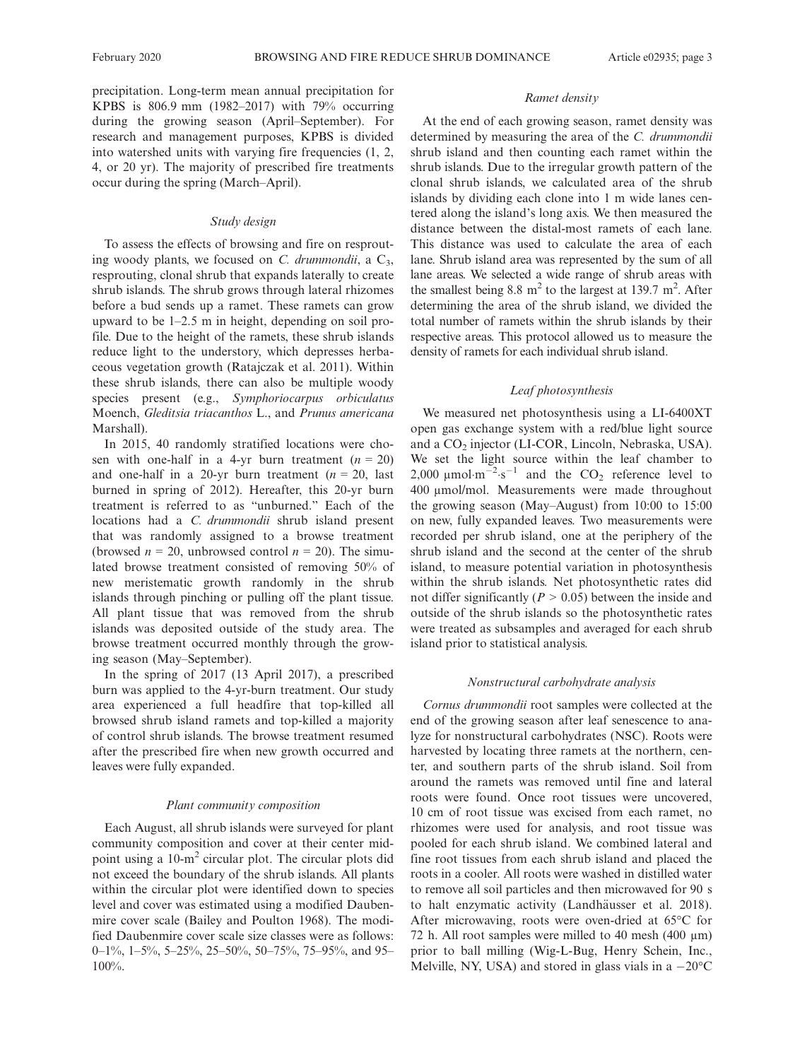precipitation. Long-term mean annual precipitation for KPBS is 806.9 mm (1982–2017) with 79% occurring during the growing season (April–September). For research and management purposes, KPBS is divided into watershed units with varying fire frequencies (1, 2, 4, or 20 yr). The majority of prescribed fire treatments occur during the spring (March–April).

# Study design

To assess the effects of browsing and fire on resprouting woody plants, we focused on C. drummondii, a  $C_3$ , resprouting, clonal shrub that expands laterally to create shrub islands. The shrub grows through lateral rhizomes before a bud sends up a ramet. These ramets can grow upward to be 1–2.5 m in height, depending on soil profile. Due to the height of the ramets, these shrub islands reduce light to the understory, which depresses herbaceous vegetation growth (Ratajczak et al. 2011). Within these shrub islands, there can also be multiple woody species present (e.g., Symphoriocarpus orbiculatus Moench, Gleditsia triacanthos L., and Prunus americana Marshall).

In 2015, 40 randomly stratified locations were chosen with one-half in a 4-yr burn treatment  $(n = 20)$ and one-half in a 20-yr burn treatment  $(n = 20, \text{ last})$ burned in spring of 2012). Hereafter, this 20-yr burn treatment is referred to as "unburned." Each of the locations had a C. drummondii shrub island present that was randomly assigned to a browse treatment (browsed  $n = 20$ , unbrowsed control  $n = 20$ ). The simulated browse treatment consisted of removing 50% of new meristematic growth randomly in the shrub islands through pinching or pulling off the plant tissue. All plant tissue that was removed from the shrub islands was deposited outside of the study area. The browse treatment occurred monthly through the growing season (May–September).

In the spring of 2017 (13 April 2017), a prescribed burn was applied to the 4-yr-burn treatment. Our study area experienced a full headfire that top-killed all browsed shrub island ramets and top-killed a majority of control shrub islands. The browse treatment resumed after the prescribed fire when new growth occurred and leaves were fully expanded.

#### Plant community composition

Each August, all shrub islands were surveyed for plant community composition and cover at their center midpoint using a 10-m<sup>2</sup> circular plot. The circular plots did not exceed the boundary of the shrub islands. All plants within the circular plot were identified down to species level and cover was estimated using a modified Daubenmire cover scale (Bailey and Poulton 1968). The modified Daubenmire cover scale size classes were as follows: 0–1%, 1–5%, 5–25%, 25–50%, 50–75%, 75–95%, and 95– 100%.

#### Ramet density

At the end of each growing season, ramet density was determined by measuring the area of the C. drummondii shrub island and then counting each ramet within the shrub islands. Due to the irregular growth pattern of the clonal shrub islands, we calculated area of the shrub islands by dividing each clone into 1 m wide lanes centered along the island's long axis. We then measured the distance between the distal-most ramets of each lane. This distance was used to calculate the area of each lane. Shrub island area was represented by the sum of all lane areas. We selected a wide range of shrub areas with the smallest being  $8.8 \text{ m}^2$  to the largest at 139.7 m<sup>2</sup>. After determining the area of the shrub island, we divided the total number of ramets within the shrub islands by their respective areas. This protocol allowed us to measure the density of ramets for each individual shrub island.

# Leaf photosynthesis

We measured net photosynthesis using a LI-6400XT open gas exchange system with a red/blue light source and a CO<sub>2</sub> injector (LI-COR, Lincoln, Nebraska, USA). We set the light source within the leaf chamber to 2,000  $\mu$ mol $\cdot$ m<sup>-2</sup> $\cdot$ s<sup>-1</sup> and the CO<sub>2</sub> reference level to 400 µmol/mol. Measurements were made throughout the growing season (May–August) from 10:00 to 15:00 on new, fully expanded leaves. Two measurements were recorded per shrub island, one at the periphery of the shrub island and the second at the center of the shrub island, to measure potential variation in photosynthesis within the shrub islands. Net photosynthetic rates did not differ significantly ( $P > 0.05$ ) between the inside and outside of the shrub islands so the photosynthetic rates were treated as subsamples and averaged for each shrub island prior to statistical analysis.

#### Nonstructural carbohydrate analysis

Cornus drummondii root samples were collected at the end of the growing season after leaf senescence to analyze for nonstructural carbohydrates (NSC). Roots were harvested by locating three ramets at the northern, center, and southern parts of the shrub island. Soil from around the ramets was removed until fine and lateral roots were found. Once root tissues were uncovered, 10 cm of root tissue was excised from each ramet, no rhizomes were used for analysis, and root tissue was pooled for each shrub island. We combined lateral and fine root tissues from each shrub island and placed the roots in a cooler. All roots were washed in distilled water to remove all soil particles and then microwaved for 90 s to halt enzymatic activity (Landhäusser et al. 2018). After microwaving, roots were oven-dried at 65°C for 72 h. All root samples were milled to 40 mesh (400  $\mu$ m) prior to ball milling (Wig-L-Bug, Henry Schein, Inc., Melville, NY, USA) and stored in glass vials in a  $-20^{\circ}$ C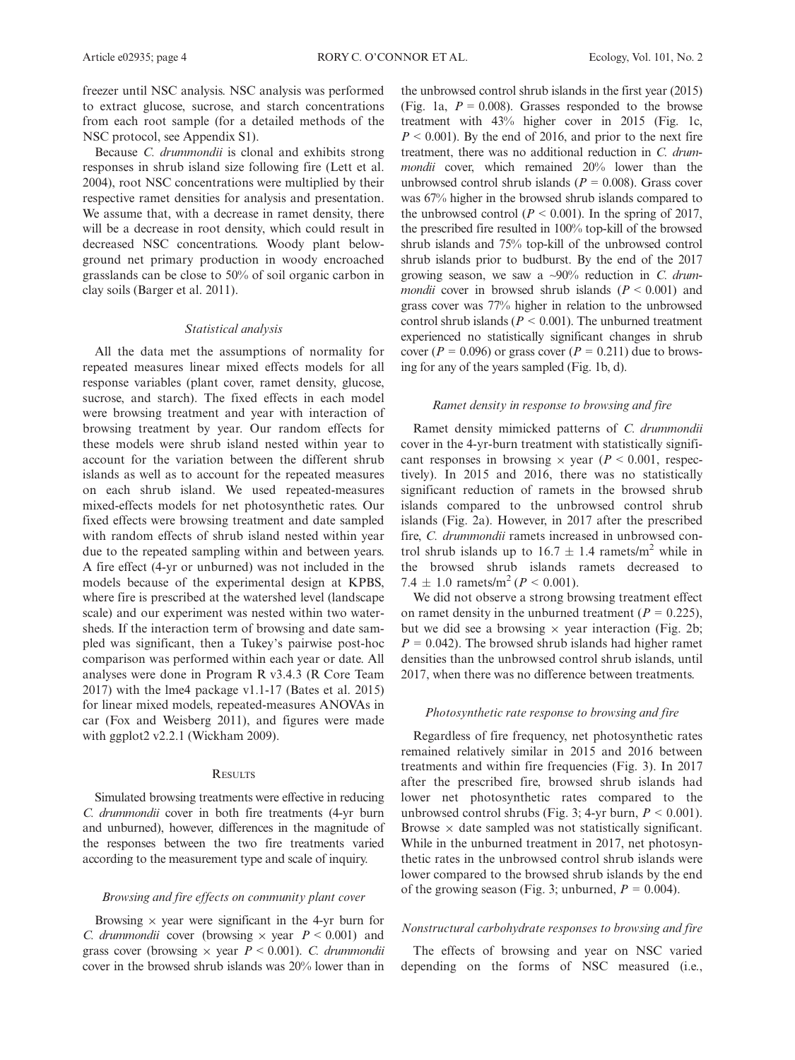freezer until NSC analysis. NSC analysis was performed to extract glucose, sucrose, and starch concentrations from each root sample (for a detailed methods of the NSC protocol, see Appendix S1).

Because C. drummondii is clonal and exhibits strong responses in shrub island size following fire (Lett et al. 2004), root NSC concentrations were multiplied by their respective ramet densities for analysis and presentation. We assume that, with a decrease in ramet density, there will be a decrease in root density, which could result in decreased NSC concentrations. Woody plant belowground net primary production in woody encroached grasslands can be close to 50% of soil organic carbon in clay soils (Barger et al. 2011).

# Statistical analysis

All the data met the assumptions of normality for repeated measures linear mixed effects models for all response variables (plant cover, ramet density, glucose, sucrose, and starch). The fixed effects in each model were browsing treatment and year with interaction of browsing treatment by year. Our random effects for these models were shrub island nested within year to account for the variation between the different shrub islands as well as to account for the repeated measures on each shrub island. We used repeated-measures mixed-effects models for net photosynthetic rates. Our fixed effects were browsing treatment and date sampled with random effects of shrub island nested within year due to the repeated sampling within and between years. A fire effect (4-yr or unburned) was not included in the models because of the experimental design at KPBS, where fire is prescribed at the watershed level (landscape scale) and our experiment was nested within two watersheds. If the interaction term of browsing and date sampled was significant, then a Tukey's pairwise post-hoc comparison was performed within each year or date. All analyses were done in Program R v3.4.3 (R Core Team 2017) with the lme4 package v1.1-17 (Bates et al. 2015) for linear mixed models, repeated-measures ANOVAs in car (Fox and Weisberg 2011), and figures were made with ggplot2 v2.2.1 (Wickham 2009).

## **RESULTS**

Simulated browsing treatments were effective in reducing C. drummondii cover in both fire treatments (4-yr burn and unburned), however, differences in the magnitude of the responses between the two fire treatments varied according to the measurement type and scale of inquiry.

## Browsing and fire effects on community plant cover

Browsing  $\times$  year were significant in the 4-yr burn for *C. drummondii* cover (browsing  $\times$  year  $P < 0.001$ ) and grass cover (browsing  $\times$  year  $P \le 0.001$ ). C. drummondii cover in the browsed shrub islands was 20% lower than in the unbrowsed control shrub islands in the first year (2015) (Fig. 1a,  $P = 0.008$ ). Grasses responded to the browse treatment with 43% higher cover in 2015 (Fig. 1c,  $P < 0.001$ ). By the end of 2016, and prior to the next fire treatment, there was no additional reduction in C. drummondii cover, which remained 20% lower than the unbrowsed control shrub islands ( $P = 0.008$ ). Grass cover was 67% higher in the browsed shrub islands compared to the unbrowsed control ( $P < 0.001$ ). In the spring of 2017, the prescribed fire resulted in 100% top-kill of the browsed shrub islands and 75% top-kill of the unbrowsed control shrub islands prior to budburst. By the end of the 2017 growing season, we saw a  $\sim 90\%$  reduction in C. drum*mondii* cover in browsed shrub islands  $(P < 0.001)$  and grass cover was 77% higher in relation to the unbrowsed control shrub islands ( $P < 0.001$ ). The unburned treatment experienced no statistically significant changes in shrub cover ( $P = 0.096$ ) or grass cover ( $P = 0.211$ ) due to browsing for any of the years sampled (Fig. 1b, d).

## Ramet density in response to browsing and fire

Ramet density mimicked patterns of C. drummondii cover in the 4-yr-burn treatment with statistically significant responses in browsing  $\times$  year ( $P < 0.001$ , respectively). In 2015 and 2016, there was no statistically significant reduction of ramets in the browsed shrub islands compared to the unbrowsed control shrub islands (Fig. 2a). However, in 2017 after the prescribed fire, C. drummondii ramets increased in unbrowsed control shrub islands up to  $16.7 \pm 1.4$  ramets/m<sup>2</sup> while in the browsed shrub islands ramets decreased to 7.4  $\pm$  1.0 ramets/m<sup>2</sup> (*P* < 0.001).

We did not observe a strong browsing treatment effect on ramet density in the unburned treatment ( $P = 0.225$ ), but we did see a browsing  $\times$  year interaction (Fig. 2b;  $P = 0.042$ ). The browsed shrub islands had higher ramet densities than the unbrowsed control shrub islands, until 2017, when there was no difference between treatments.

## Photosynthetic rate response to browsing and fire

Regardless of fire frequency, net photosynthetic rates remained relatively similar in 2015 and 2016 between treatments and within fire frequencies (Fig. 3). In 2017 after the prescribed fire, browsed shrub islands had lower net photosynthetic rates compared to the unbrowsed control shrubs (Fig. 3; 4-yr burn,  $P < 0.001$ ). Browse  $\times$  date sampled was not statistically significant. While in the unburned treatment in 2017, net photosynthetic rates in the unbrowsed control shrub islands were lower compared to the browsed shrub islands by the end of the growing season (Fig. 3; unburned,  $P = 0.004$ ).

# Nonstructural carbohydrate responses to browsing and fire

The effects of browsing and year on NSC varied depending on the forms of NSC measured (i.e.,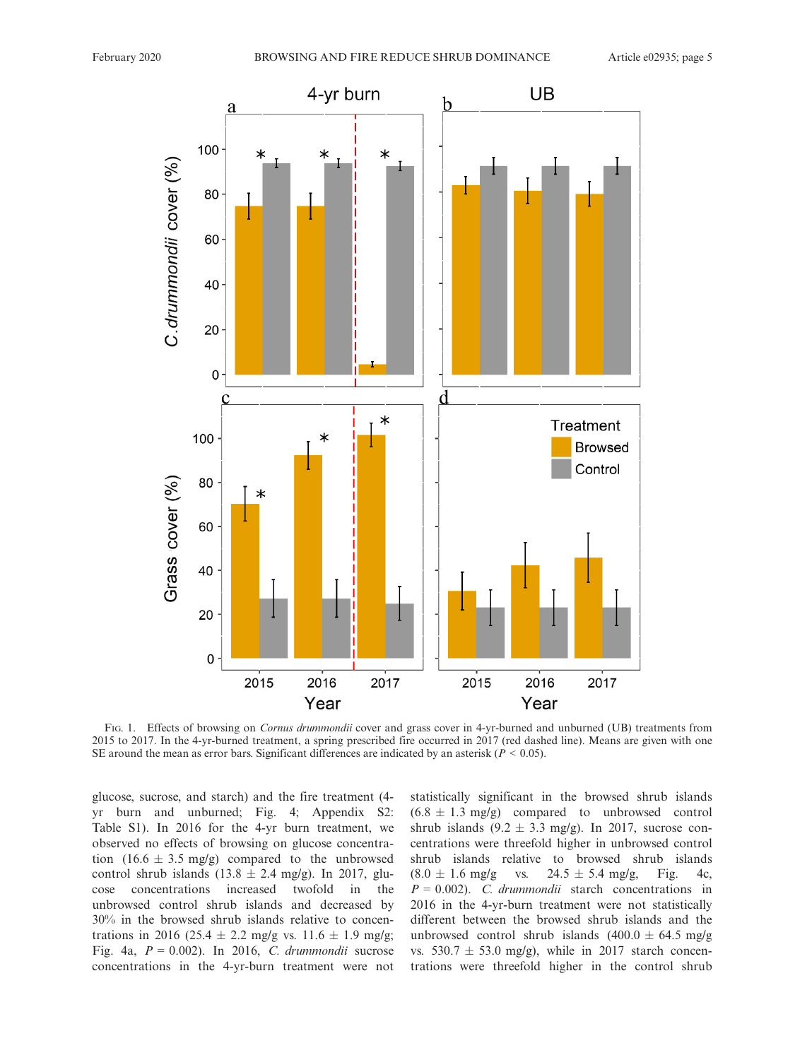

FIG. 1. Effects of browsing on *Cornus drummondii* cover and grass cover in 4-yr-burned and unburned (UB) treatments from 2015 to 2017. In the 4-yr-burned treatment, a spring prescribed fire occurred in 2017 (red dashed line). Means are given with one SE around the mean as error bars. Significant differences are indicated by an asterisk ( $P < 0.05$ ).

glucose, sucrose, and starch) and the fire treatment (4 yr burn and unburned; Fig. 4; Appendix S2: Table S1). In 2016 for the 4-yr burn treatment, we observed no effects of browsing on glucose concentration  $(16.6 \pm 3.5 \text{ mg/g})$  compared to the unbrowsed control shrub islands  $(13.8 \pm 2.4 \text{ mg/g})$ . In 2017, glu-<br>cose concentrations increased twofold in the cose concentrations increased twofold in unbrowsed control shrub islands and decreased by 30% in the browsed shrub islands relative to concentrations in 2016 (25.4  $\pm$  2.2 mg/g vs. 11.6  $\pm$  1.9 mg/g; Fig. 4a,  $P = 0.002$ ). In 2016, C. drummondii sucrose concentrations in the 4-yr-burn treatment were not statistically significant in the browsed shrub islands  $(6.8 \pm 1.3 \text{ mg/g})$  compared to unbrowsed control shrub islands  $(9.2 \pm 3.3 \text{ mg/g})$ . In 2017, sucrose concentrations were threefold higher in unbrowsed control shrub islands relative to browsed shrub islands  $(8.0 \pm 1.6 \text{ mg/g} \text{ vs. } 24.5 \pm 5.4 \text{ mg/g}, \text{ Fig. 4c},$  $P = 0.002$ ). C. drummondii starch concentrations in 2016 in the 4-yr-burn treatment were not statistically different between the browsed shrub islands and the unbrowsed control shrub islands  $(400.0 \pm 64.5 \text{ m}g/g)$ vs. 530.7  $\pm$  53.0 mg/g), while in 2017 starch concentrations were threefold higher in the control shrub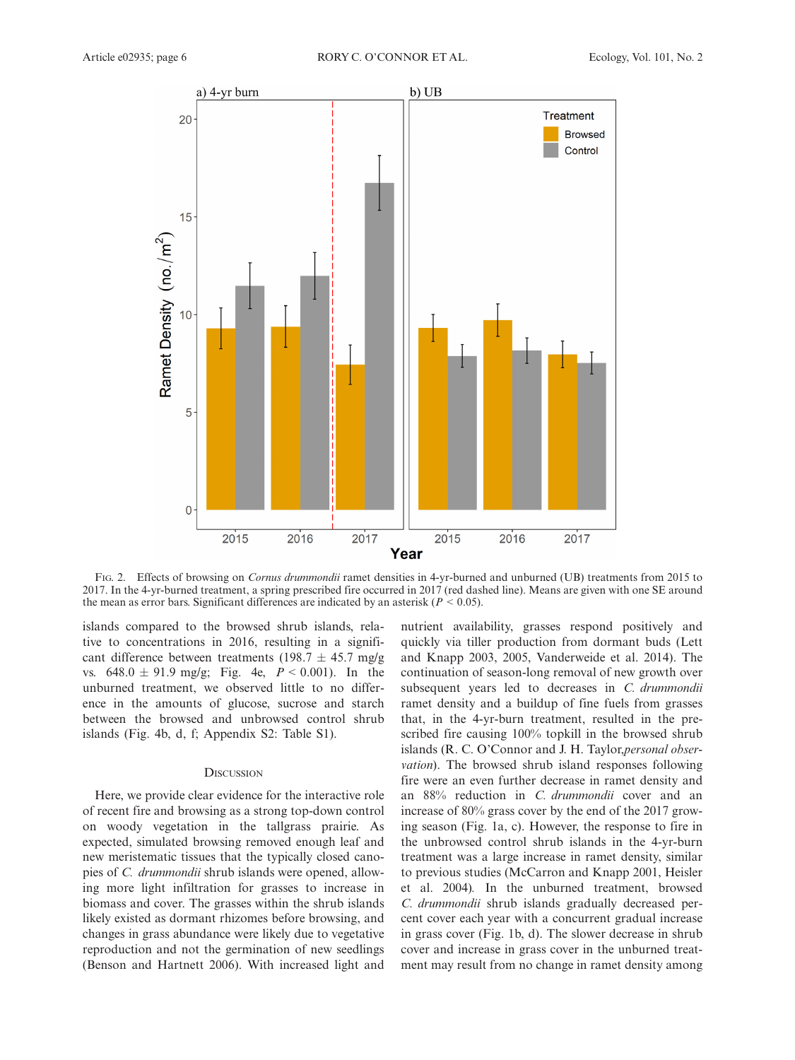

FIG. 2. Effects of browsing on Cornus drummondii ramet densities in 4-yr-burned and unburned (UB) treatments from 2015 to 2017. In the 4-yr-burned treatment, a spring prescribed fire occurred in 2017 (red dashed line). Means are given with one SE around the mean as error bars. Significant differences are indicated by an asterisk ( $P < 0.05$ ).

islands compared to the browsed shrub islands, relative to concentrations in 2016, resulting in a significant difference between treatments (198.7  $\pm$  45.7 mg/g vs.  $648.0 \pm 91.9$  mg/g; Fig. 4e,  $P < 0.001$ ). In the unburned treatment, we observed little to no difference in the amounts of glucose, sucrose and starch between the browsed and unbrowsed control shrub islands (Fig. 4b, d, f; Appendix S2: Table S1).

#### **DISCUSSION**

Here, we provide clear evidence for the interactive role of recent fire and browsing as a strong top-down control on woody vegetation in the tallgrass prairie. As expected, simulated browsing removed enough leaf and new meristematic tissues that the typically closed canopies of C. drummondii shrub islands were opened, allowing more light infiltration for grasses to increase in biomass and cover. The grasses within the shrub islands likely existed as dormant rhizomes before browsing, and changes in grass abundance were likely due to vegetative reproduction and not the germination of new seedlings (Benson and Hartnett 2006). With increased light and

nutrient availability, grasses respond positively and quickly via tiller production from dormant buds (Lett and Knapp 2003, 2005, Vanderweide et al. 2014). The continuation of season-long removal of new growth over subsequent years led to decreases in C. drummondii ramet density and a buildup of fine fuels from grasses that, in the 4-yr-burn treatment, resulted in the prescribed fire causing 100% topkill in the browsed shrub islands (R. C. O'Connor and J. H. Taylor,personal observation). The browsed shrub island responses following fire were an even further decrease in ramet density and an 88% reduction in C. drummondii cover and an increase of 80% grass cover by the end of the 2017 growing season (Fig. 1a, c). However, the response to fire in the unbrowsed control shrub islands in the 4-yr-burn treatment was a large increase in ramet density, similar to previous studies (McCarron and Knapp 2001, Heisler et al. 2004). In the unburned treatment, browsed C. drummondii shrub islands gradually decreased percent cover each year with a concurrent gradual increase in grass cover (Fig. 1b, d). The slower decrease in shrub cover and increase in grass cover in the unburned treatment may result from no change in ramet density among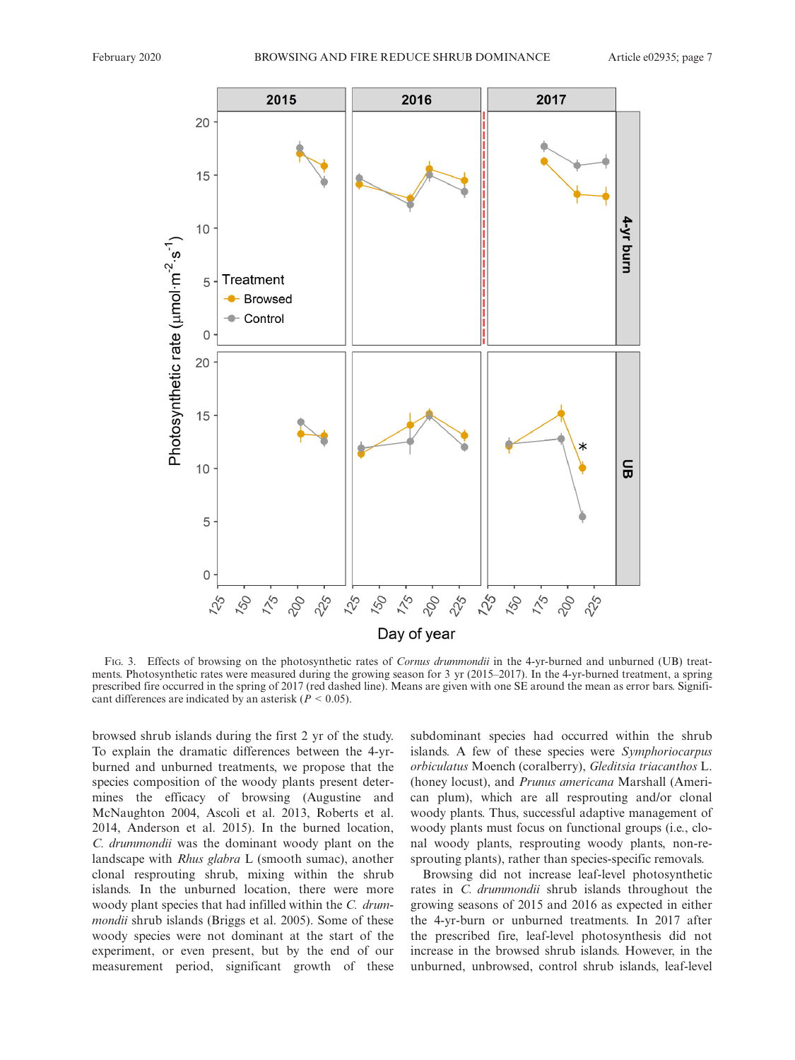

FIG. 3. Effects of browsing on the photosynthetic rates of Cornus drummondii in the 4-yr-burned and unburned (UB) treatments. Photosynthetic rates were measured during the growing season for 3 yr (2015–2017). In the 4-yr-burned treatment, a spring prescribed fire occurred in the spring of 2017 (red dashed line). Means are given with one SE around the mean as error bars. Significant differences are indicated by an asterisk ( $P < 0.05$ ).

browsed shrub islands during the first 2 yr of the study. To explain the dramatic differences between the 4-yrburned and unburned treatments, we propose that the species composition of the woody plants present determines the efficacy of browsing (Augustine and McNaughton 2004, Ascoli et al. 2013, Roberts et al. 2014, Anderson et al. 2015). In the burned location, C. drummondii was the dominant woody plant on the landscape with Rhus glabra L (smooth sumac), another clonal resprouting shrub, mixing within the shrub islands. In the unburned location, there were more woody plant species that had infilled within the C. drummondii shrub islands (Briggs et al. 2005). Some of these woody species were not dominant at the start of the experiment, or even present, but by the end of our measurement period, significant growth of these subdominant species had occurred within the shrub islands. A few of these species were Symphoriocarpus orbiculatus Moench (coralberry), Gleditsia triacanthos L. (honey locust), and Prunus americana Marshall (American plum), which are all resprouting and/or clonal woody plants. Thus, successful adaptive management of woody plants must focus on functional groups (i.e., clonal woody plants, resprouting woody plants, non-resprouting plants), rather than species-specific removals.

Browsing did not increase leaf-level photosynthetic rates in C. drummondii shrub islands throughout the growing seasons of 2015 and 2016 as expected in either the 4-yr-burn or unburned treatments. In 2017 after the prescribed fire, leaf-level photosynthesis did not increase in the browsed shrub islands. However, in the unburned, unbrowsed, control shrub islands, leaf-level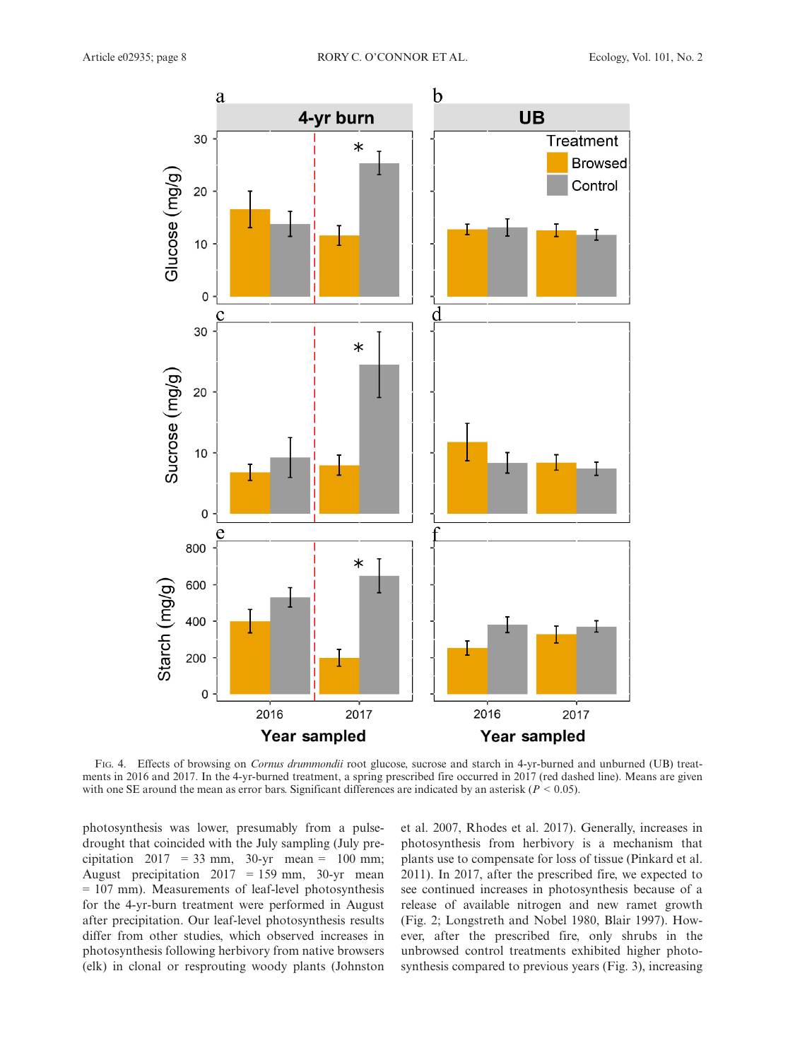

FIG. 4. Effects of browsing on Cornus drummondii root glucose, sucrose and starch in 4-yr-burned and unburned (UB) treatments in 2016 and 2017. In the 4-yr-burned treatment, a spring prescribed fire occurred in 2017 (red dashed line). Means are given with one SE around the mean as error bars. Significant differences are indicated by an asterisk ( $P < 0.05$ ).

photosynthesis was lower, presumably from a pulsedrought that coincided with the July sampling (July precipitation  $2017 = 33$  mm,  $30-yr$  mean = 100 mm; August precipitation  $2017 = 159$  mm,  $30$ -yr mean = 107 mm). Measurements of leaf-level photosynthesis for the 4-yr-burn treatment were performed in August after precipitation. Our leaf-level photosynthesis results differ from other studies, which observed increases in photosynthesis following herbivory from native browsers (elk) in clonal or resprouting woody plants (Johnston et al. 2007, Rhodes et al. 2017). Generally, increases in photosynthesis from herbivory is a mechanism that plants use to compensate for loss of tissue (Pinkard et al. 2011). In 2017, after the prescribed fire, we expected to see continued increases in photosynthesis because of a release of available nitrogen and new ramet growth (Fig. 2; Longstreth and Nobel 1980, Blair 1997). However, after the prescribed fire, only shrubs in the unbrowsed control treatments exhibited higher photosynthesis compared to previous years (Fig. 3), increasing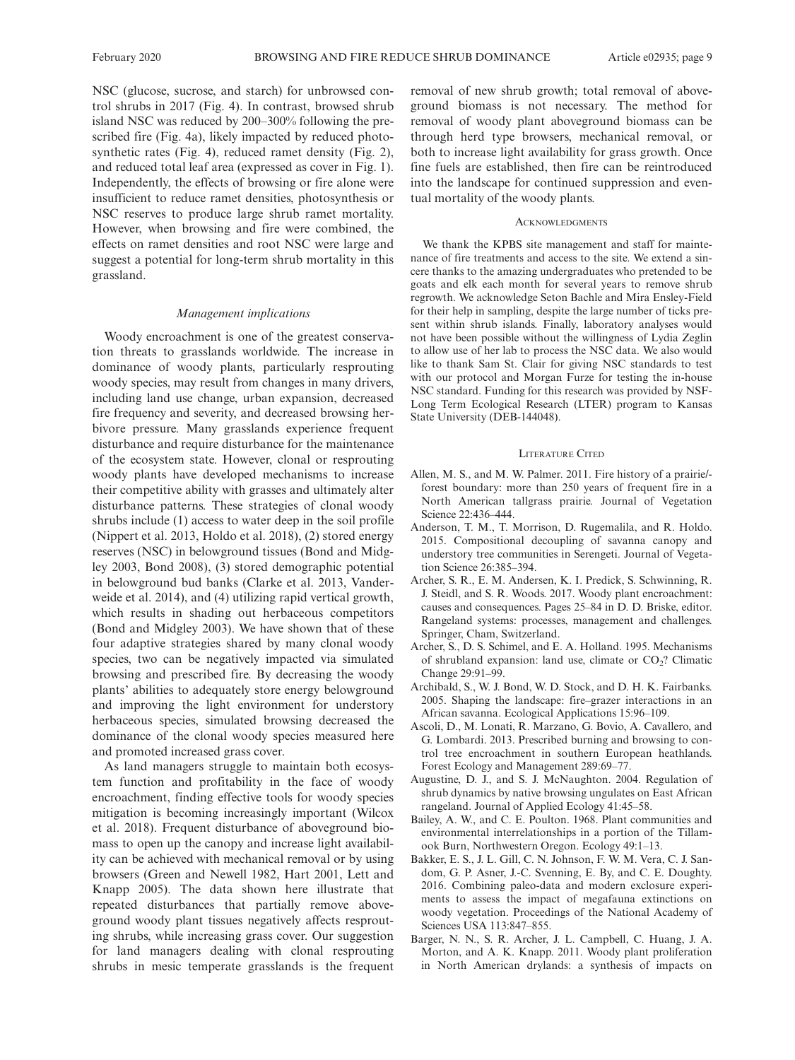NSC (glucose, sucrose, and starch) for unbrowsed control shrubs in 2017 (Fig. 4). In contrast, browsed shrub island NSC was reduced by 200–300% following the prescribed fire (Fig. 4a), likely impacted by reduced photosynthetic rates (Fig. 4), reduced ramet density (Fig. 2), and reduced total leaf area (expressed as cover in Fig. 1). Independently, the effects of browsing or fire alone were insufficient to reduce ramet densities, photosynthesis or NSC reserves to produce large shrub ramet mortality. However, when browsing and fire were combined, the effects on ramet densities and root NSC were large and suggest a potential for long-term shrub mortality in this grassland.

#### Management implications

Woody encroachment is one of the greatest conservation threats to grasslands worldwide. The increase in dominance of woody plants, particularly resprouting woody species, may result from changes in many drivers, including land use change, urban expansion, decreased fire frequency and severity, and decreased browsing herbivore pressure. Many grasslands experience frequent disturbance and require disturbance for the maintenance of the ecosystem state. However, clonal or resprouting woody plants have developed mechanisms to increase their competitive ability with grasses and ultimately alter disturbance patterns. These strategies of clonal woody shrubs include (1) access to water deep in the soil profile (Nippert et al. 2013, Holdo et al. 2018), (2) stored energy reserves (NSC) in belowground tissues (Bond and Midgley 2003, Bond 2008), (3) stored demographic potential in belowground bud banks (Clarke et al. 2013, Vanderweide et al. 2014), and (4) utilizing rapid vertical growth, which results in shading out herbaceous competitors (Bond and Midgley 2003). We have shown that of these four adaptive strategies shared by many clonal woody species, two can be negatively impacted via simulated browsing and prescribed fire. By decreasing the woody plants' abilities to adequately store energy belowground and improving the light environment for understory herbaceous species, simulated browsing decreased the dominance of the clonal woody species measured here and promoted increased grass cover.

As land managers struggle to maintain both ecosystem function and profitability in the face of woody encroachment, finding effective tools for woody species mitigation is becoming increasingly important (Wilcox et al. 2018). Frequent disturbance of aboveground biomass to open up the canopy and increase light availability can be achieved with mechanical removal or by using browsers (Green and Newell 1982, Hart 2001, Lett and Knapp 2005). The data shown here illustrate that repeated disturbances that partially remove aboveground woody plant tissues negatively affects resprouting shrubs, while increasing grass cover. Our suggestion for land managers dealing with clonal resprouting shrubs in mesic temperate grasslands is the frequent removal of new shrub growth; total removal of aboveground biomass is not necessary. The method for removal of woody plant aboveground biomass can be through herd type browsers, mechanical removal, or both to increase light availability for grass growth. Once fine fuels are established, then fire can be reintroduced into the landscape for continued suppression and eventual mortality of the woody plants.

#### **ACKNOWLEDGMENTS**

We thank the KPBS site management and staff for maintenance of fire treatments and access to the site. We extend a sincere thanks to the amazing undergraduates who pretended to be goats and elk each month for several years to remove shrub regrowth. We acknowledge Seton Bachle and Mira Ensley-Field for their help in sampling, despite the large number of ticks present within shrub islands. Finally, laboratory analyses would not have been possible without the willingness of Lydia Zeglin to allow use of her lab to process the NSC data. We also would like to thank Sam St. Clair for giving NSC standards to test with our protocol and Morgan Furze for testing the in-house NSC standard. Funding for this research was provided by NSF-Long Term Ecological Research (LTER) program to Kansas State University (DEB-144048).

#### LITERATURE CITED

- Allen, M. S., and M. W. Palmer. 2011. Fire history of a prairie/ forest boundary: more than 250 years of frequent fire in a North American tallgrass prairie. Journal of Vegetation Science 22:436–444.
- Anderson, T. M., T. Morrison, D. Rugemalila, and R. Holdo. 2015. Compositional decoupling of savanna canopy and understory tree communities in Serengeti. Journal of Vegetation Science 26:385–394.
- Archer, S. R., E. M. Andersen, K. I. Predick, S. Schwinning, R. J. Steidl, and S. R. Woods. 2017. Woody plant encroachment: causes and consequences. Pages 25–84 in D. D. Briske, editor. Rangeland systems: processes, management and challenges. Springer, Cham, Switzerland.
- Archer, S., D. S. Schimel, and E. A. Holland. 1995. Mechanisms of shrubland expansion: land use, climate or  $CO<sub>2</sub>$ ? Climatic Change 29:91–99.
- Archibald, S., W. J. Bond, W. D. Stock, and D. H. K. Fairbanks. 2005. Shaping the landscape: fire–grazer interactions in an African savanna. Ecological Applications 15:96–109.
- Ascoli, D., M. Lonati, R. Marzano, G. Bovio, A. Cavallero, and G. Lombardi. 2013. Prescribed burning and browsing to control tree encroachment in southern European heathlands. Forest Ecology and Management 289:69–77.
- Augustine, D. J., and S. J. McNaughton. 2004. Regulation of shrub dynamics by native browsing ungulates on East African rangeland. Journal of Applied Ecology 41:45–58.
- Bailey, A. W., and C. E. Poulton. 1968. Plant communities and environmental interrelationships in a portion of the Tillamook Burn, Northwestern Oregon. Ecology 49:1–13.
- Bakker, E. S., J. L. Gill, C. N. Johnson, F. W. M. Vera, C. J. Sandom, G. P. Asner, J.-C. Svenning, E. By, and C. E. Doughty. 2016. Combining paleo-data and modern exclosure experiments to assess the impact of megafauna extinctions on woody vegetation. Proceedings of the National Academy of Sciences USA 113:847–855.
- Barger, N. N., S. R. Archer, J. L. Campbell, C. Huang, J. A. Morton, and A. K. Knapp. 2011. Woody plant proliferation in North American drylands: a synthesis of impacts on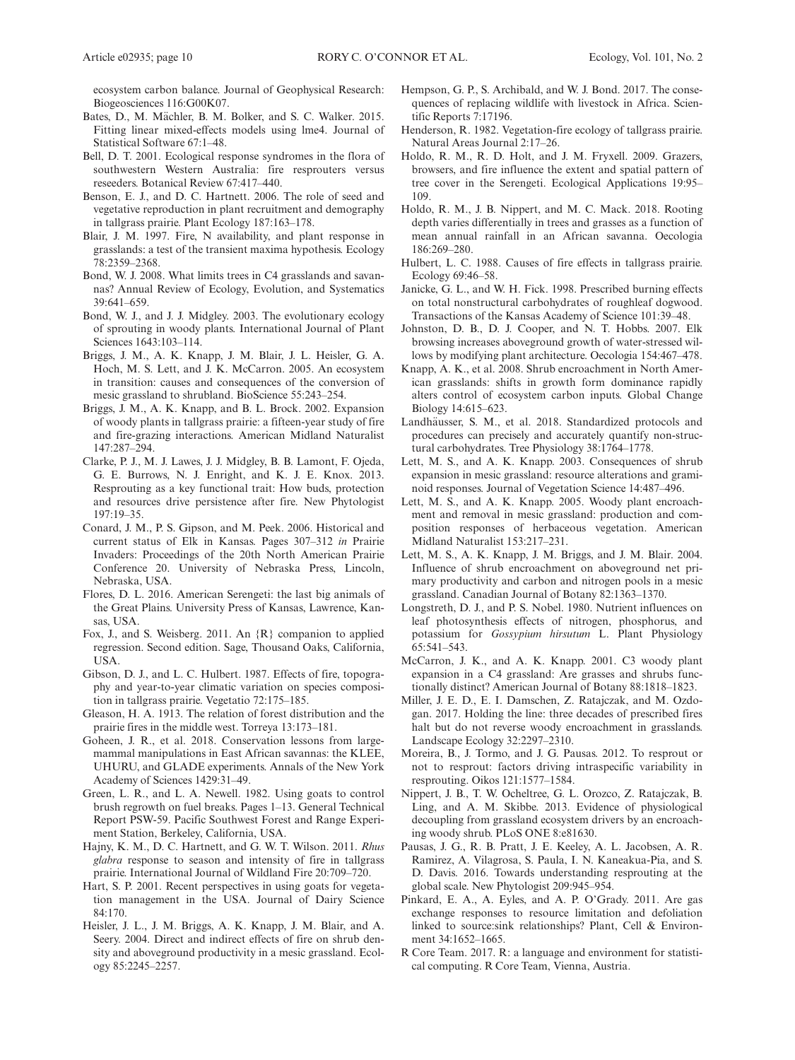ecosystem carbon balance. Journal of Geophysical Research: Biogeosciences 116:G00K07.

- Bates, D., M. Mächler, B. M. Bolker, and S. C. Walker. 2015. Fitting linear mixed-effects models using lme4. Journal of Statistical Software 67:1–48.
- Bell, D. T. 2001. Ecological response syndromes in the flora of southwestern Western Australia: fire resprouters versus reseeders. Botanical Review 67:417–440.
- Benson, E. J., and D. C. Hartnett. 2006. The role of seed and vegetative reproduction in plant recruitment and demography in tallgrass prairie. Plant Ecology 187:163–178.
- Blair, J. M. 1997. Fire, N availability, and plant response in grasslands: a test of the transient maxima hypothesis. Ecology 78:2359–2368.
- Bond, W. J. 2008. What limits trees in C4 grasslands and savannas? Annual Review of Ecology, Evolution, and Systematics 39:641–659.
- Bond, W. J., and J. J. Midgley. 2003. The evolutionary ecology of sprouting in woody plants. International Journal of Plant Sciences 1643:103–114.
- Briggs, J. M., A. K. Knapp, J. M. Blair, J. L. Heisler, G. A. Hoch, M. S. Lett, and J. K. McCarron. 2005. An ecosystem in transition: causes and consequences of the conversion of mesic grassland to shrubland. BioScience 55:243–254.
- Briggs, J. M., A. K. Knapp, and B. L. Brock. 2002. Expansion of woody plants in tallgrass prairie: a fifteen-year study of fire and fire-grazing interactions. American Midland Naturalist 147:287–294.
- Clarke, P. J., M. J. Lawes, J. J. Midgley, B. B. Lamont, F. Ojeda, G. E. Burrows, N. J. Enright, and K. J. E. Knox. 2013. Resprouting as a key functional trait: How buds, protection and resources drive persistence after fire. New Phytologist 197:19–35.
- Conard, J. M., P. S. Gipson, and M. Peek. 2006. Historical and current status of Elk in Kansas. Pages 307–312 in Prairie Invaders: Proceedings of the 20th North American Prairie Conference 20. University of Nebraska Press, Lincoln, Nebraska, USA.
- Flores, D. L. 2016. American Serengeti: the last big animals of the Great Plains. University Press of Kansas, Lawrence, Kansas, USA.
- Fox, J., and S. Weisberg. 2011. An {R} companion to applied regression. Second edition. Sage, Thousand Oaks, California, USA.
- Gibson, D. J., and L. C. Hulbert. 1987. Effects of fire, topography and year-to-year climatic variation on species composition in tallgrass prairie. Vegetatio 72:175–185.
- Gleason, H. A. 1913. The relation of forest distribution and the prairie fires in the middle west. Torreya 13:173–181.
- Goheen, J. R., et al. 2018. Conservation lessons from largemammal manipulations in East African savannas: the KLEE, UHURU, and GLADE experiments. Annals of the New York Academy of Sciences 1429:31–49.
- Green, L. R., and L. A. Newell. 1982. Using goats to control brush regrowth on fuel breaks. Pages 1–13. General Technical Report PSW-59. Pacific Southwest Forest and Range Experiment Station, Berkeley, California, USA.
- Hajny, K. M., D. C. Hartnett, and G. W. T. Wilson. 2011. Rhus glabra response to season and intensity of fire in tallgrass prairie. International Journal of Wildland Fire 20:709–720.
- Hart, S. P. 2001. Recent perspectives in using goats for vegetation management in the USA. Journal of Dairy Science 84:170.
- Heisler, J. L., J. M. Briggs, A. K. Knapp, J. M. Blair, and A. Seery. 2004. Direct and indirect effects of fire on shrub density and aboveground productivity in a mesic grassland. Ecology 85:2245–2257.
- Hempson, G. P., S. Archibald, and W. J. Bond. 2017. The consequences of replacing wildlife with livestock in Africa. Scientific Reports 7:17196.
- Henderson, R. 1982. Vegetation-fire ecology of tallgrass prairie. Natural Areas Journal 2:17–26.
- Holdo, R. M., R. D. Holt, and J. M. Fryxell. 2009. Grazers, browsers, and fire influence the extent and spatial pattern of tree cover in the Serengeti. Ecological Applications 19:95– 109.
- Holdo, R. M., J. B. Nippert, and M. C. Mack. 2018. Rooting depth varies differentially in trees and grasses as a function of mean annual rainfall in an African savanna. Oecologia 186:269–280.
- Hulbert, L. C. 1988. Causes of fire effects in tallgrass prairie. Ecology 69:46–58.
- Janicke, G. L., and W. H. Fick. 1998. Prescribed burning effects on total nonstructural carbohydrates of roughleaf dogwood. Transactions of the Kansas Academy of Science 101:39–48.
- Johnston, D. B., D. J. Cooper, and N. T. Hobbs. 2007. Elk browsing increases aboveground growth of water-stressed willows by modifying plant architecture. Oecologia 154:467–478.
- Knapp, A. K., et al. 2008. Shrub encroachment in North American grasslands: shifts in growth form dominance rapidly alters control of ecosystem carbon inputs. Global Change Biology 14:615–623.
- Landhäusser, S. M., et al. 2018. Standardized protocols and procedures can precisely and accurately quantify non-structural carbohydrates. Tree Physiology 38:1764–1778.
- Lett, M. S., and A. K. Knapp. 2003. Consequences of shrub expansion in mesic grassland: resource alterations and graminoid responses. Journal of Vegetation Science 14:487–496.
- Lett, M. S., and A. K. Knapp. 2005. Woody plant encroachment and removal in mesic grassland: production and composition responses of herbaceous vegetation. American Midland Naturalist 153:217–231.
- Lett, M. S., A. K. Knapp, J. M. Briggs, and J. M. Blair. 2004. Influence of shrub encroachment on aboveground net primary productivity and carbon and nitrogen pools in a mesic grassland. Canadian Journal of Botany 82:1363–1370.
- Longstreth, D. J., and P. S. Nobel. 1980. Nutrient influences on leaf photosynthesis effects of nitrogen, phosphorus, and potassium for Gossypium hirsutum L. Plant Physiology 65:541–543.
- McCarron, J. K., and A. K. Knapp. 2001. C3 woody plant expansion in a C4 grassland: Are grasses and shrubs functionally distinct? American Journal of Botany 88:1818–1823.
- Miller, J. E. D., E. I. Damschen, Z. Ratajczak, and M. Ozdogan. 2017. Holding the line: three decades of prescribed fires halt but do not reverse woody encroachment in grasslands. Landscape Ecology 32:2297–2310.
- Moreira, B., J. Tormo, and J. G. Pausas. 2012. To resprout or not to resprout: factors driving intraspecific variability in resprouting. Oikos 121:1577–1584.
- Nippert, J. B., T. W. Ocheltree, G. L. Orozco, Z. Ratajczak, B. Ling, and A. M. Skibbe. 2013. Evidence of physiological decoupling from grassland ecosystem drivers by an encroaching woody shrub. PLoS ONE 8:e81630.
- Pausas, J. G., R. B. Pratt, J. E. Keeley, A. L. Jacobsen, A. R. Ramirez, A. Vilagrosa, S. Paula, I. N. Kaneakua-Pia, and S. D. Davis. 2016. Towards understanding resprouting at the global scale. New Phytologist 209:945–954.
- Pinkard, E. A., A. Eyles, and A. P. O'Grady. 2011. Are gas exchange responses to resource limitation and defoliation linked to source:sink relationships? Plant, Cell & Environment 34:1652–1665.
- R Core Team. 2017. R: a language and environment for statistical computing. R Core Team, Vienna, Austria.